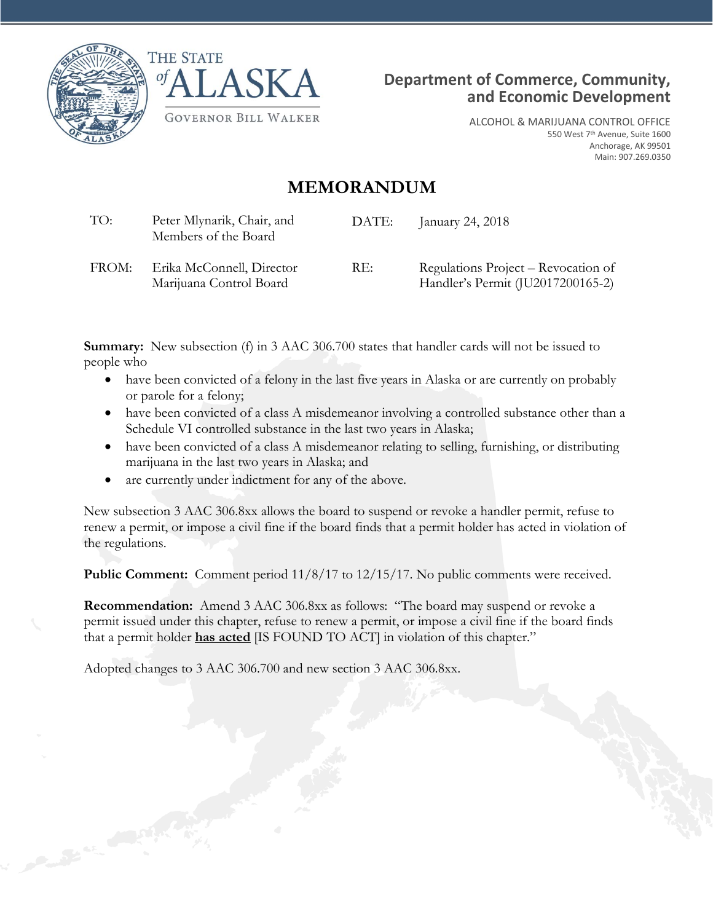





ALCOHOL & MARIJUANA CONTROL OFFICE 550 West 7<sup>th</sup> Avenue, Suite 1600 Anchorage, AK 99501 Main: 907.269.0350

## **MEMORANDUM**

| TO:   | Peter Mlynarik, Chair, and<br>Members of the Board   | DATE: | January 24, 2018                                                         |
|-------|------------------------------------------------------|-------|--------------------------------------------------------------------------|
| FROM: | Erika McConnell, Director<br>Marijuana Control Board | RE:   | Regulations Project – Revocation of<br>Handler's Permit (JU2017200165-2) |

**Summary:** New subsection (f) in 3 AAC 306.700 states that handler cards will not be issued to people who

- have been convicted of a felony in the last five years in Alaska or are currently on probably or parole for a felony;
- have been convicted of a class A misdemeanor involving a controlled substance other than a Schedule VI controlled substance in the last two years in Alaska;
- have been convicted of a class A misdemeanor relating to selling, furnishing, or distributing marijuana in the last two years in Alaska; and
- are currently under indictment for any of the above.

New subsection 3 AAC 306.8xx allows the board to suspend or revoke a handler permit, refuse to renew a permit, or impose a civil fine if the board finds that a permit holder has acted in violation of the regulations.

**Public Comment:** Comment period  $11/8/17$  to  $12/15/17$ . No public comments were received.

**Recommendation:** Amend 3 AAC 306.8xx as follows: "The board may suspend or revoke a permit issued under this chapter, refuse to renew a permit, or impose a civil fine if the board finds that a permit holder **has acted** [IS FOUND TO ACT] in violation of this chapter."

Adopted changes to 3 AAC 306.700 and new section 3 AAC 306.8xx.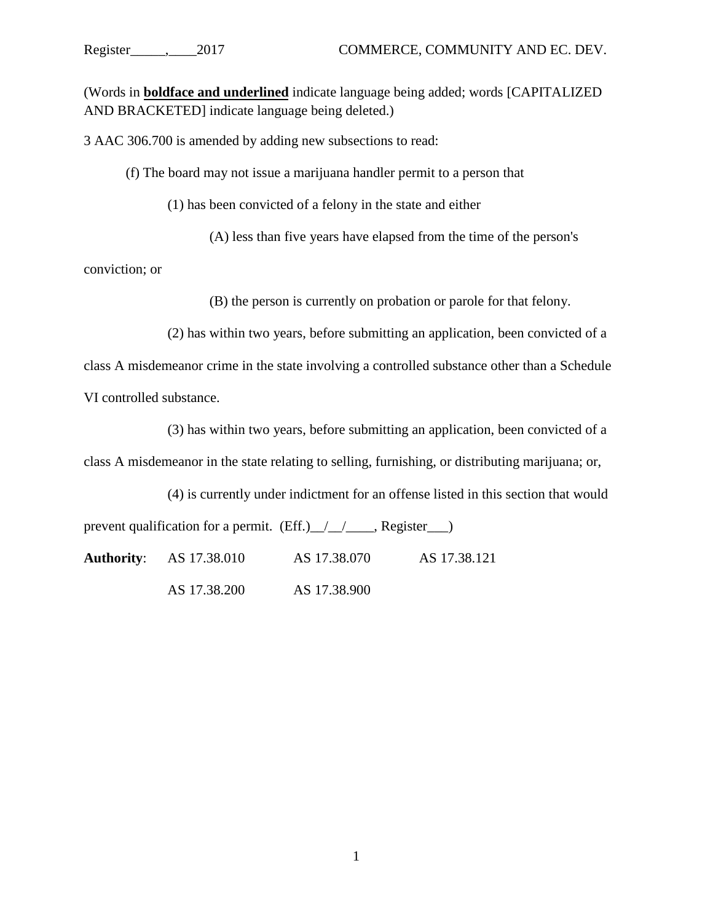(Words in **boldface and underlined** indicate language being added; words [CAPITALIZED AND BRACKETED] indicate language being deleted.)

3 AAC 306.700 is amended by adding new subsections to read:

(f) The board may not issue a marijuana handler permit to a person that

(1) has been convicted of a felony in the state and either

(A) less than five years have elapsed from the time of the person's

conviction; or

(B) the person is currently on probation or parole for that felony.

(2) has within two years, before submitting an application, been convicted of a

class A misdemeanor crime in the state involving a controlled substance other than a Schedule VI controlled substance.

(3) has within two years, before submitting an application, been convicted of a

class A misdemeanor in the state relating to selling, furnishing, or distributing marijuana; or,

(4) is currently under indictment for an offense listed in this section that would

prevent qualification for a permit. (Eff.) $\angle$  /  $\angle$  Register  $\Box$ )

**Authority**: AS 17.38.010 AS 17.38.070 AS 17.38.121

AS 17.38.200 AS 17.38.900